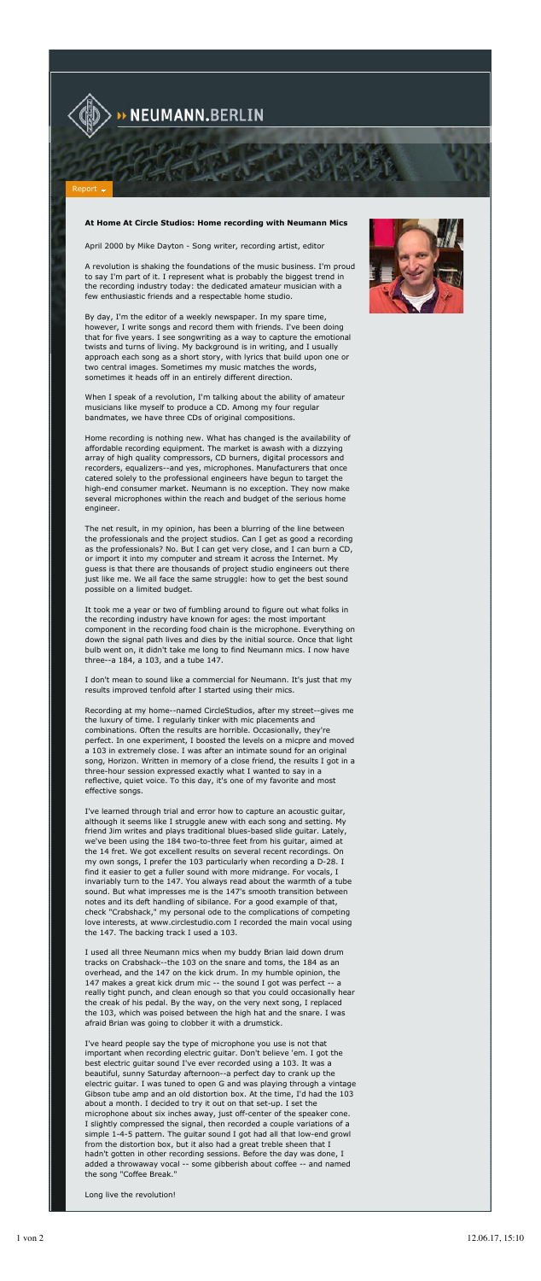

## N<mark>EUMANN.</mark>BERLIN

## Report

## **At Home At Circle Studios: Home recording with Neumann Mics**

April 2000 by Mike Dayton - Song writer, recording artist, editor

A revolution is shaking the foundations of the music business. I'm proud to say I'm part of it. I represent what is probably the biggest trend in the recording industry today: the dedicated amateur musician with a few enthusiastic friends and a respectable home studio.

By day, I'm the editor of a weekly newspaper. In my spare time, however, I write songs and record them with friends. I've been doing that for five years. I see songwriting as a way to capture the emotional twists and turns of living. My background is in writing, and I usually approach each song as a short story, with lyrics that build upon one or two central images. Sometimes my music matches the words, sometimes it heads off in an entirely different direction.

When I speak of a revolution, I'm talking about the ability of amateur musicians like myself to produce a CD. Among my four regular bandmates, we have three CDs of original compositions.

Home recording is nothing new. What has changed is the availability of affordable recording equipment. The market is awash with a dizzying array of high quality compressors, CD burners, digital processors and recorders, equalizers--and yes, microphones. Manufacturers that once catered solely to the professional engineers have begun to target the high-end consumer market. Neumann is no exception. They now make several microphones within the reach and budget of the serious home engineer.

The net result, in my opinion, has been a blurring of the line between the professionals and the project studios. Can I get as good a recording as the professionals? No. But I can get very close, and I can burn a CD, or import it into my computer and stream it across the Internet. My guess is that there are thousands of project studio engineers out there just like me. We all face the same struggle: how to get the best sound possible on a limited budget.

It took me a year or two of fumbling around to figure out what folks in the recording industry have known for ages: the most important component in the recording food chain is the microphone. Everything on down the signal path lives and dies by the initial source. Once that light bulb went on, it didn't take me long to find Neumann mics. I now have three--a 184, a 103, and a tube 147.

I don't mean to sound like a commercial for Neumann. It's just that my results improved tenfold after I started using their mics.

Recording at my home--named CircleStudios, after my street--gives me the luxury of time. I regularly tinker with mic placements and combinations. Often the results are horrible. Occasionally, they're perfect. In one experiment, I boosted the levels on a micpre and moved a 103 in extremely close. I was after an intimate sound for an original song, Horizon. Written in memory of a close friend, the results I got in a three-hour session expressed exactly what I wanted to say in a reflective, quiet voice. To this day, it's one of my favorite and most effective songs.

I've learned through trial and error how to capture an acoustic guitar, although it seems like I struggle anew with each song and setting. My friend Jim writes and plays traditional blues-based slide guitar. Lately, we've been using the 184 two-to-three feet from his guitar, aimed at the 14 fret. We got excellent results on several recent recordings. On my own songs, I prefer the 103 particularly when recording a D-28. I find it easier to get a fuller sound with more midrange. For vocals, I invariably turn to the 147. You always read about the warmth of a tube sound. But what impresses me is the 147's smooth transition between notes and its deft handling of sibilance. For a good example of that, check "Crabshack," my personal ode to the complications of competing love interests, at www.circlestudio.com I recorded the main vocal using the 147. The backing track I used a 103.



I used all three Neumann mics when my buddy Brian laid down drum tracks on Crabshack--the 103 on the snare and toms, the 184 as an overhead, and the 147 on the kick drum. In my humble opinion, the 147 makes a great kick drum mic -- the sound I got was perfect -- a really tight punch, and clean enough so that you could occasionally hear the creak of his pedal. By the way, on the very next song, I replaced the 103, which was poised between the high hat and the snare. I was afraid Brian was going to clobber it with a drumstick.

I've heard people say the type of microphone you use is not that important when recording electric guitar. Don't believe 'em. I got the best electric guitar sound I've ever recorded using a 103. It was a beautiful, sunny Saturday afternoon--a perfect day to crank up the electric guitar. I was tuned to open G and was playing through a vintage Gibson tube amp and an old distortion box. At the time, I'd had the 103 about a month. I decided to try it out on that set-up. I set the microphone about six inches away, just off-center of the speaker cone. I slightly compressed the signal, then recorded a couple variations of a simple 1-4-5 pattern. The guitar sound I got had all that low-end growl from the distortion box, but it also had a great treble sheen that I hadn't gotten in other recording sessions. Before the day was done, I added a throwaway vocal -- some gibberish about coffee -- and named the song "Coffee Break."

Long live the revolution!